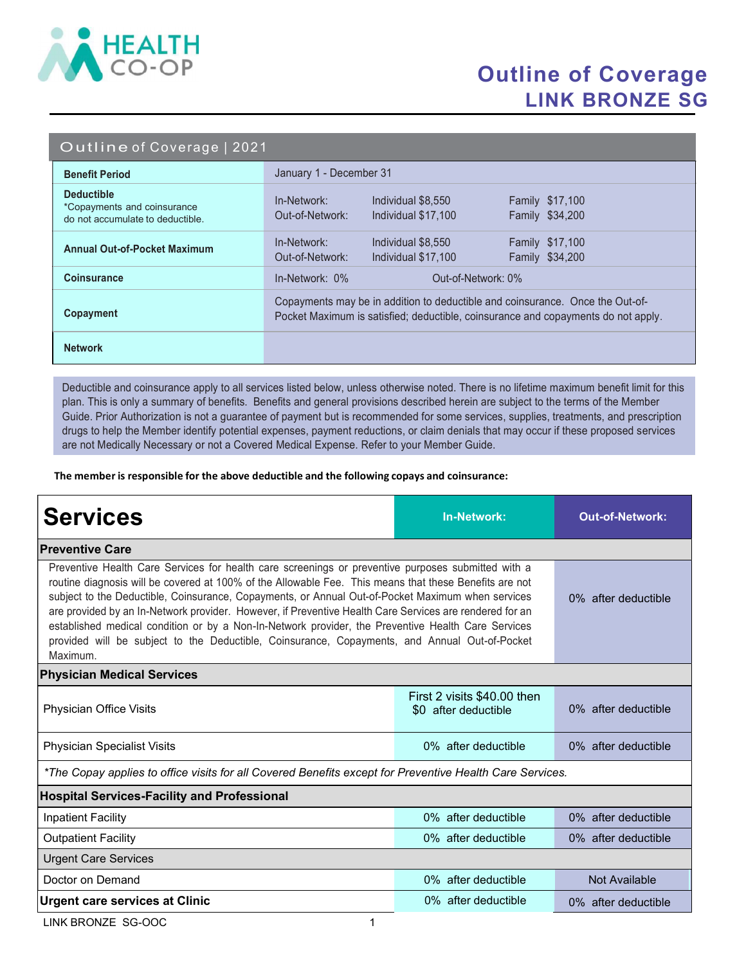

## Outline of Coverage LINK BRONZE SG

#### Outline of Coverage | 2021

| <b>Benefit Period</b>                                                                | January 1 - December 31                                                                                                                                            |  |  |
|--------------------------------------------------------------------------------------|--------------------------------------------------------------------------------------------------------------------------------------------------------------------|--|--|
| <b>Deductible</b><br>*Copayments and coinsurance<br>do not accumulate to deductible. | In-Network:<br>Individual \$8,550<br><b>Family \$17,100</b><br>Out-of-Network:<br>Family \$34,200<br>Individual \$17,100                                           |  |  |
| <b>Annual Out-of-Pocket Maximum</b>                                                  | Family \$17,100<br>In-Network:<br>Individual \$8,550<br>Family \$34,200<br>Out-of-Network:<br>Individual \$17,100                                                  |  |  |
| <b>Coinsurance</b>                                                                   | In-Network: 0%<br>Out-of-Network: 0%                                                                                                                               |  |  |
| Copayment                                                                            | Copayments may be in addition to deductible and coinsurance. Once the Out-of-<br>Pocket Maximum is satisfied; deductible, coinsurance and copayments do not apply. |  |  |
| <b>Network</b>                                                                       | POS: Point of Service                                                                                                                                              |  |  |

Deductible and coinsurance apply to all services listed below, unless otherwise noted. There is no lifetime maximum benefit limit for this plan. This is only a summary of benefits. Benefits and general provisions described herein are subject to the terms of the Member Guide. Prior Authorization is not a guarantee of payment but is recommended for some services, supplies, treatments, and prescription drugs to help the Member identify potential expenses, payment reductions, or claim denials that may occur if these proposed services are not Medically Necessary or not a Covered Medical Expense. Refer to your Member Guide.

The member is responsible for the above deductible and the following copays and coinsurance:

| <b>Services</b>                                                                                                                                                                                                                                                                                                                                                                                                                                                                                                                                                                                                                                 | <b>In-Network:</b>                                  | <b>Out-of-Network:</b> |  |  |
|-------------------------------------------------------------------------------------------------------------------------------------------------------------------------------------------------------------------------------------------------------------------------------------------------------------------------------------------------------------------------------------------------------------------------------------------------------------------------------------------------------------------------------------------------------------------------------------------------------------------------------------------------|-----------------------------------------------------|------------------------|--|--|
| <b>Preventive Care</b>                                                                                                                                                                                                                                                                                                                                                                                                                                                                                                                                                                                                                          |                                                     |                        |  |  |
| Preventive Health Care Services for health care screenings or preventive purposes submitted with a<br>routine diagnosis will be covered at 100% of the Allowable Fee. This means that these Benefits are not<br>subject to the Deductible, Coinsurance, Copayments, or Annual Out-of-Pocket Maximum when services<br>are provided by an In-Network provider. However, if Preventive Health Care Services are rendered for an<br>established medical condition or by a Non-In-Network provider, the Preventive Health Care Services<br>provided will be subject to the Deductible, Coinsurance, Copayments, and Annual Out-of-Pocket<br>Maximum. | 0% after deductible                                 |                        |  |  |
| <b>Physician Medical Services</b>                                                                                                                                                                                                                                                                                                                                                                                                                                                                                                                                                                                                               |                                                     |                        |  |  |
| Physician Office Visits                                                                                                                                                                                                                                                                                                                                                                                                                                                                                                                                                                                                                         | First 2 visits \$40.00 then<br>\$0 after deductible | 0% after deductible    |  |  |
| <b>Physician Specialist Visits</b>                                                                                                                                                                                                                                                                                                                                                                                                                                                                                                                                                                                                              | 0% after deductible                                 | 0% after deductible    |  |  |
| *The Copay applies to office visits for all Covered Benefits except for Preventive Health Care Services.                                                                                                                                                                                                                                                                                                                                                                                                                                                                                                                                        |                                                     |                        |  |  |
| <b>Hospital Services-Facility and Professional</b>                                                                                                                                                                                                                                                                                                                                                                                                                                                                                                                                                                                              |                                                     |                        |  |  |
| <b>Inpatient Facility</b>                                                                                                                                                                                                                                                                                                                                                                                                                                                                                                                                                                                                                       | 0% after deductible                                 | 0% after deductible    |  |  |
| <b>Outpatient Facility</b>                                                                                                                                                                                                                                                                                                                                                                                                                                                                                                                                                                                                                      | 0% after deductible                                 | 0% after deductible    |  |  |
| <b>Urgent Care Services</b>                                                                                                                                                                                                                                                                                                                                                                                                                                                                                                                                                                                                                     |                                                     |                        |  |  |
| Doctor on Demand                                                                                                                                                                                                                                                                                                                                                                                                                                                                                                                                                                                                                                | 0% after deductible                                 | Not Available          |  |  |
| <b>Urgent care services at Clinic</b>                                                                                                                                                                                                                                                                                                                                                                                                                                                                                                                                                                                                           | 0% after deductible                                 | 0% after deductible    |  |  |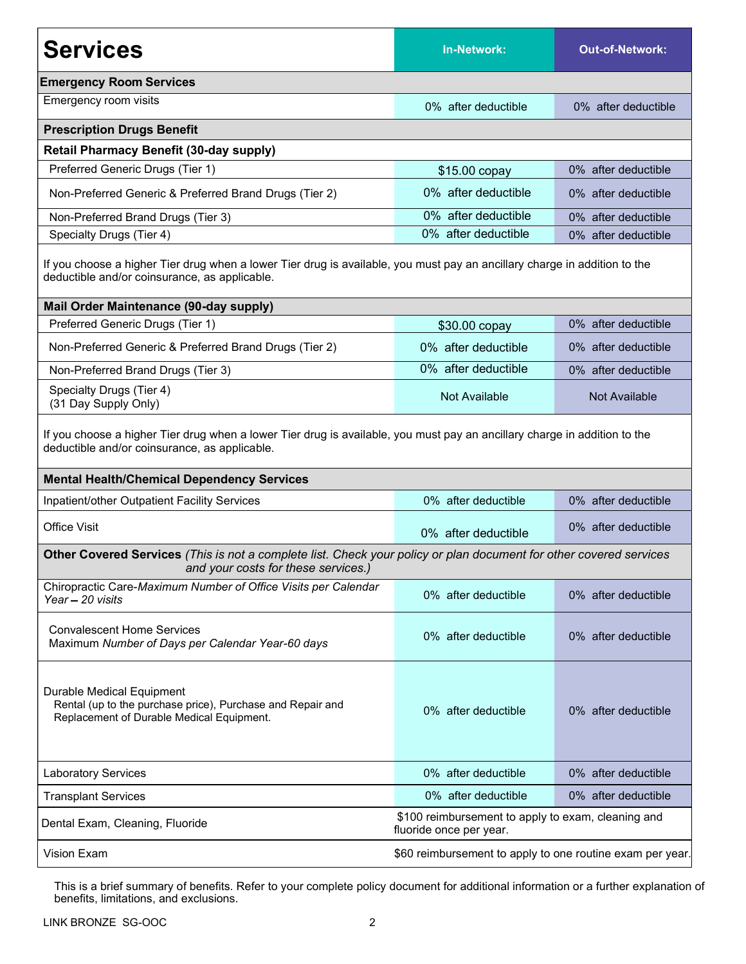| <b>Services</b>                                                                                                                                                                                                                 | In-Network:                                               | <b>Out-of-Network:</b> |  |  |
|---------------------------------------------------------------------------------------------------------------------------------------------------------------------------------------------------------------------------------|-----------------------------------------------------------|------------------------|--|--|
| <b>Emergency Room Services</b>                                                                                                                                                                                                  |                                                           |                        |  |  |
| Emergency room visits                                                                                                                                                                                                           | 0% after deductible                                       | 0% after deductible    |  |  |
| <b>Prescription Drugs Benefit</b>                                                                                                                                                                                               |                                                           |                        |  |  |
| <b>Retail Pharmacy Benefit (30-day supply)</b>                                                                                                                                                                                  |                                                           |                        |  |  |
| Preferred Generic Drugs (Tier 1)                                                                                                                                                                                                | \$15.00 copay                                             | 0% after deductible    |  |  |
| Non-Preferred Generic & Preferred Brand Drugs (Tier 2)                                                                                                                                                                          | 0% after deductible                                       | 0% after deductible    |  |  |
| Non-Preferred Brand Drugs (Tier 3)                                                                                                                                                                                              | 0% after deductible                                       | 0% after deductible    |  |  |
| Specialty Drugs (Tier 4)                                                                                                                                                                                                        | 0% after deductible                                       | 0% after deductible    |  |  |
| If you choose a higher Tier drug when a lower Tier drug is available, you must pay an ancillary charge in addition to the<br>deductible and/or coinsurance, as applicable.                                                      |                                                           |                        |  |  |
| Mail Order Maintenance (90-day supply)                                                                                                                                                                                          |                                                           |                        |  |  |
| Preferred Generic Drugs (Tier 1)                                                                                                                                                                                                | \$30.00 copay                                             | 0% after deductible    |  |  |
| Non-Preferred Generic & Preferred Brand Drugs (Tier 2)                                                                                                                                                                          | 0% after deductible                                       | 0% after deductible    |  |  |
| Non-Preferred Brand Drugs (Tier 3)                                                                                                                                                                                              | 0% after deductible                                       | 0% after deductible    |  |  |
| Specialty Drugs (Tier 4)<br>(31 Day Supply Only)                                                                                                                                                                                | <b>Not Available</b>                                      | <b>Not Available</b>   |  |  |
| If you choose a higher Tier drug when a lower Tier drug is available, you must pay an ancillary charge in addition to the<br>deductible and/or coinsurance, as applicable.<br><b>Mental Health/Chemical Dependency Services</b> |                                                           |                        |  |  |
| Inpatient/other Outpatient Facility Services                                                                                                                                                                                    | 0% after deductible                                       | 0% after deductible    |  |  |
| <b>Office Visit</b>                                                                                                                                                                                                             | 0% after deductible                                       | 0% after deductible    |  |  |
| Other Covered Services (This is not a complete list. Check your policy or plan document for other covered services<br>and your costs for these services.)                                                                       |                                                           |                        |  |  |
| Chiropractic Care-Maximum Number of Office Visits per Calendar<br>Year - 20 visits                                                                                                                                              | 0% after deductible                                       | 0% after deductible    |  |  |
| <b>Convalescent Home Services</b><br>Maximum Number of Days per Calendar Year-60 days                                                                                                                                           | 0% after deductible                                       | 0% after deductible    |  |  |
| Durable Medical Equipment<br>Rental (up to the purchase price), Purchase and Repair and<br>Replacement of Durable Medical Equipment.                                                                                            | 0% after deductible                                       | 0% after deductible    |  |  |
| <b>Laboratory Services</b>                                                                                                                                                                                                      | 0% after deductible                                       | 0% after deductible    |  |  |
| <b>Transplant Services</b>                                                                                                                                                                                                      | 0% after deductible                                       | 0% after deductible    |  |  |
| \$100 reimbursement to apply to exam, cleaning and<br>Dental Exam, Cleaning, Fluoride<br>fluoride once per year.                                                                                                                |                                                           |                        |  |  |
| Vision Exam                                                                                                                                                                                                                     | \$60 reimbursement to apply to one routine exam per year. |                        |  |  |

This is a brief summary of benefits. Refer to your complete policy document for additional information or a further explanation of benefits, limitations, and exclusions.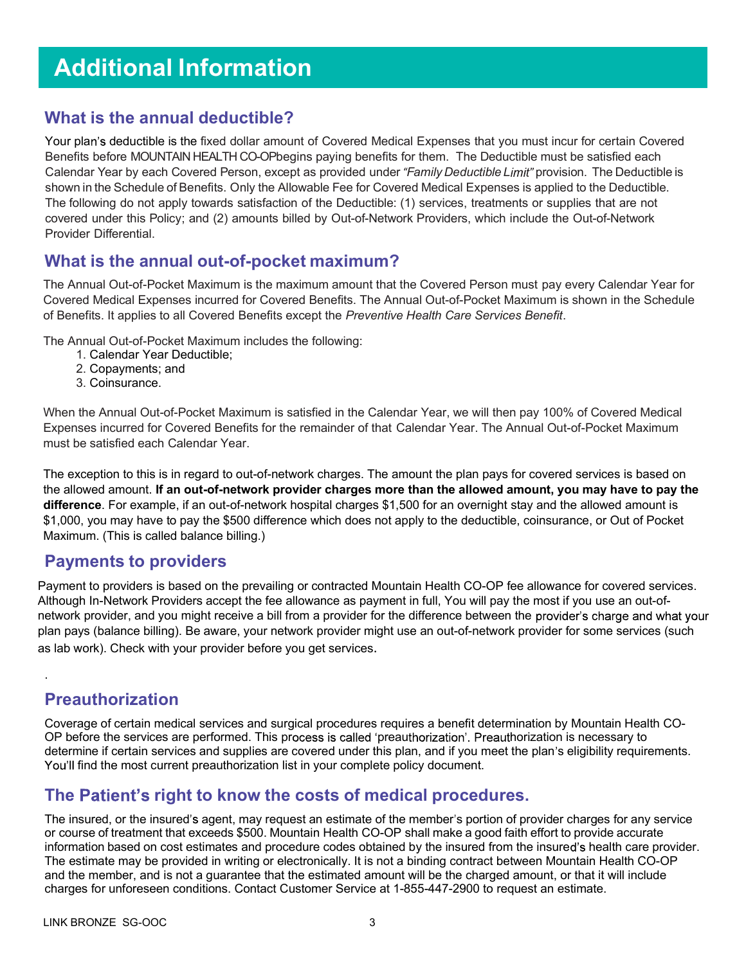# Additional Information

#### What is the annual deductible?

Your plan's deductible is the fixed dollar amount of Covered Medical Expenses that you must incur for certain Covered Benefits before MOUNTAIN HEALTH CO-OPbegins paying benefits for them. The Deductible must be satisfied each Calendar Year by each Covered Person, except as provided under "Family Deductible Limit" provision. The Deductible is shown in the Schedule of Benefits. Only the Allowable Fee for Covered Medical Expenses is applied to the Deductible. The following do not apply towards satisfaction of the Deductible: (1) services, treatments or supplies that are not covered under this Policy; and (2) amounts billed by Out-of-Network Providers, which include the Out-of-Network Provider Differential.

#### What is the annual out-of-pocket maximum?

The Annual Out-of-Pocket Maximum is the maximum amount that the Covered Person must pay every Calendar Year for Covered Medical Expenses incurred for Covered Benefits. The Annual Out-of-Pocket Maximum is shown in the Schedule of Benefits. It applies to all Covered Benefits except the Preventive Health Care Services Benefit.

The Annual Out-of-Pocket Maximum includes the following:

- 1. Calendar Year Deductible;
- 2. Copayments; and
- 3. Coinsurance.

When the Annual Out-of-Pocket Maximum is satisfied in the Calendar Year, we will then pay 100% of Covered Medical Expenses incurred for Covered Benefits for the remainder of that Calendar Year. The Annual Out-of-Pocket Maximum must be satisfied each Calendar Year.

The exception to this is in regard to out-of-network charges. The amount the plan pays for covered services is based on the allowed amount. If an out-of-network provider charges more than the allowed amount, you may have to pay the difference. For example, if an out-of-network hospital charges \$1,500 for an overnight stay and the allowed amount is \$1,000, you may have to pay the \$500 difference which does not apply to the deductible, coinsurance, or Out of Pocket Maximum. (This is called balance billing.)

#### Payments to providers

Payment to providers is based on the prevailing or contracted Mountain Health CO-OP fee allowance for covered services. Although In-Network Providers accept the fee allowance as payment in full, You will pay the most if you use an out-ofnetwork provider, and you might receive a bill from a provider for the difference between the provider's charge and what your plan pays (balance billing). Be aware, your network provider might use an out-of-network provider for some services (such as lab work). Check with your provider before you get services.

### Preauthorization

.

Coverage of certain medical services and surgical procedures requires a benefit determination by Mountain Health CO-OP before the services are performed. This process is called 'preauthorization'. Preauthorization is necessary to determine if certain services and supplies are covered under this plan, and if you meet the plan's eligibility requirements. You'll find the most current preauthorization list in your complete policy document.

### The Patient's right to know the costs of medical procedures.

The insured, or the insured's agent, may request an estimate of the member's portion of provider charges for any service or course of treatment that exceeds \$500. Mountain Health CO-OP shall make a good faith effort to provide accurate information based on cost estimates and procedure codes obtained by the insured from the insured's health care provider. The estimate may be provided in writing or electronically. It is not a binding contract between Mountain Health CO-OP and the member, and is not a guarantee that the estimated amount will be the charged amount, or that it will include charges for unforeseen conditions. Contact Customer Service at 1-855-447-2900 to request an estimate.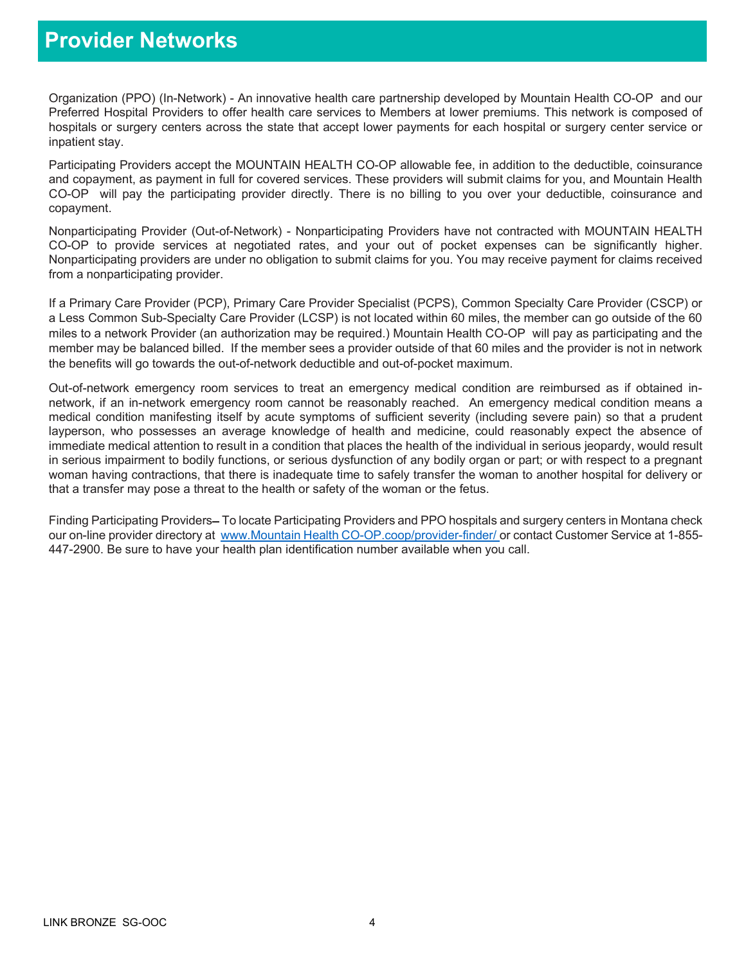## Provider Networks

Organization (PPO) (In-Network) - An innovative health care partnership developed by Mountain Health CO-OP and our Preferred Hospital Providers to offer health care services to Members at lower premiums. This network is composed of hospitals or surgery centers across the state that accept lower payments for each hospital or surgery center service or inpatient stay.

Participating Providers accept the MOUNTAIN HEALTH CO-OP allowable fee, in addition to the deductible, coinsurance and copayment, as payment in full for covered services. These providers will submit claims for you, and Mountain Health CO-OP will pay the participating provider directly. There is no billing to you over your deductible, coinsurance and copayment.

Nonparticipating Provider (Out-of-Network) - Nonparticipating Providers have not contracted with MOUNTAIN HEALTH CO-OP to provide services at negotiated rates, and your out of pocket expenses can be significantly higher. Nonparticipating providers are under no obligation to submit claims for you. You may receive payment for claims received from a nonparticipating provider.

If a Primary Care Provider (PCP), Primary Care Provider Specialist (PCPS), Common Specialty Care Provider (CSCP) or a Less Common Sub-Specialty Care Provider (LCSP) is not located within 60 miles, the member can go outside of the 60 miles to a network Provider (an authorization may be required.) Mountain Health CO-OP will pay as participating and the member may be balanced billed. If the member sees a provider outside of that 60 miles and the provider is not in network the benefits will go towards the out-of-network deductible and out-of-pocket maximum.

Out-of-network emergency room services to treat an emergency medical condition are reimbursed as if obtained innetwork, if an in-network emergency room cannot be reasonably reached. An emergency medical condition means a medical condition manifesting itself by acute symptoms of sufficient severity (including severe pain) so that a prudent layperson, who possesses an average knowledge of health and medicine, could reasonably expect the absence of immediate medical attention to result in a condition that places the health of the individual in serious jeopardy, would result in serious impairment to bodily functions, or serious dysfunction of any bodily organ or part; or with respect to a pregnant woman having contractions, that there is inadequate time to safely transfer the woman to another hospital for delivery or that a transfer may pose a threat to the health or safety of the woman or the fetus.

Finding Participating Providers–To locate Participating Providers and PPO hospitals and surgery centers in Montana check our on-line provider directory at www.Mountain Health CO-OP.coop/provider-finder/ or contact Customer Service at 1-855-447-2900. Be sure to have your health plan identification number available when you call.